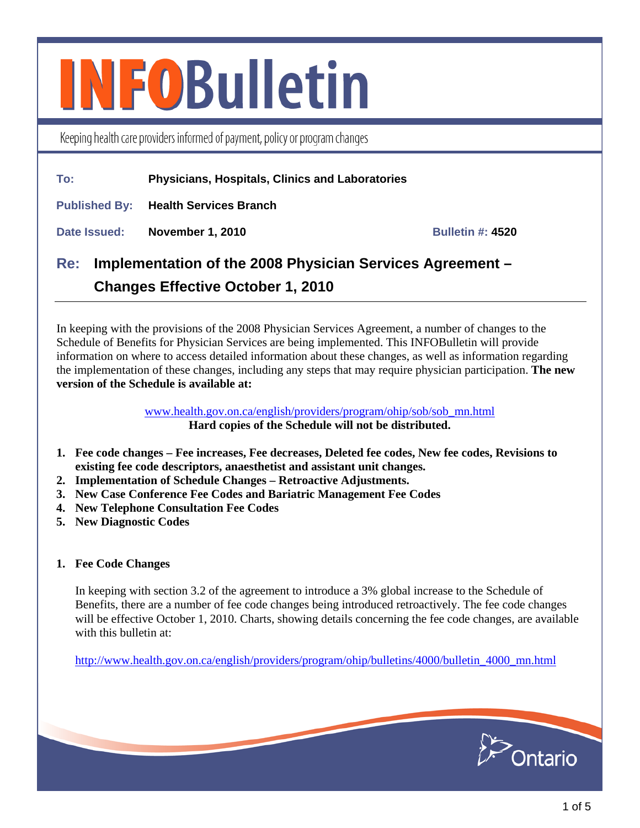# **INFOBulletin**

Keeping health care providers informed of payment, policy or program changes

# **To: Physicians, Hospitals, Clinics and Laboratories**

**Published By: Health Services Branch** 

**Date Issued: November 1, 2010 Margin 2010 Bulletin #: 4520 Bulletin #: 4520** 

# **Re: Implementation of the 2008 Physician Services Agreement – Changes Effective October 1, 2010**

In keeping with the provisions of the 2008 Physician Services Agreement, a number of changes to the Schedule of Benefits for Physician Services are being implemented. This INFOBulletin will provide information on where to access detailed information about these changes, as well as information regarding the implementation of these changes, including any steps that may require physician participation. **The new version of the Schedule is available at:** 

> [www.health.gov.on.ca/english/providers/program/ohip/sob/sob\\_mn.html](http://www.health.gov.on.ca/english/providers/program/ohip/sob/sob_mn.html) **Hard copies of the Schedule will not be distributed.**

- **1. Fee code changes Fee increases, Fee decreases, Deleted fee codes, New fee codes, Revisions to existing fee code descriptors, anaesthetist and assistant unit changes.**
- **2. Implementation of Schedule Changes Retroactive Adjustments.**
- **3. New Case Conference Fee Codes and Bariatric Management Fee Codes**
- **4. New Telephone Consultation Fee Codes**
- **5. New Diagnostic Codes**

#### **1. Fee Code Changes**

In keeping with section 3.2 of the agreement to introduce a 3% global increase to the Schedule of Benefits, there are a number of fee code changes being introduced retroactively. The fee code changes will be effective October 1, 2010. Charts, showing details concerning the fee code changes, are available with this bulletin at:

[http://www.health.gov.on.ca/english/providers/program/ohip/bulletins/4000/bulletin\\_4000\\_mn.html](http://www.health.gov.on.ca/english/providers/program/ohip/bulletins/4000/bulletin_4000_mn.html)

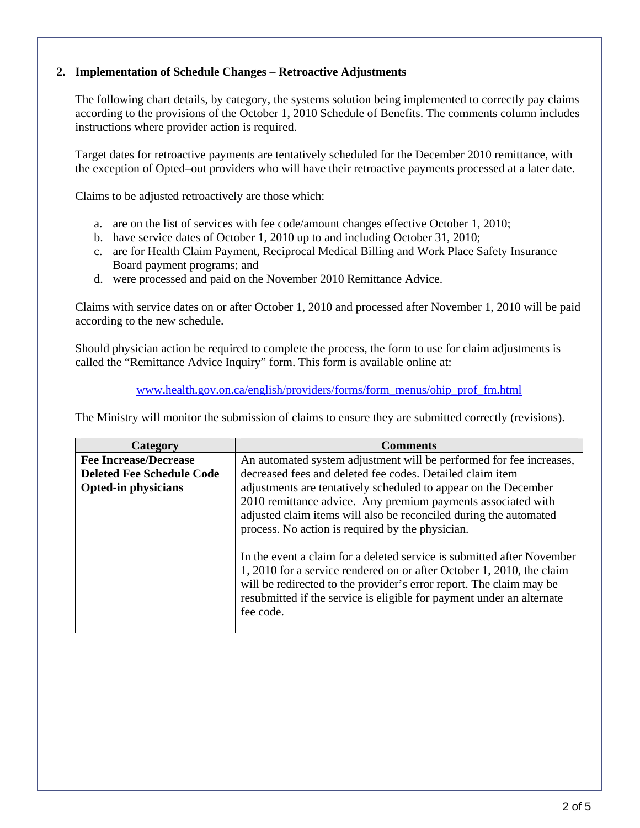#### **2. Implementation of Schedule Changes – Retroactive Adjustments**

The following chart details, by category, the systems solution being implemented to correctly pay claims according to the provisions of the October 1, 2010 Schedule of Benefits. The comments column includes instructions where provider action is required.

Target dates for retroactive payments are tentatively scheduled for the December 2010 remittance, with the exception of Opted–out providers who will have their retroactive payments processed at a later date.

Claims to be adjusted retroactively are those which:

- a. are on the list of services with fee code/amount changes effective October 1, 2010;
- b. have service dates of October 1, 2010 up to and including October 31, 2010;
- c. are for Health Claim Payment, Reciprocal Medical Billing and Work Place Safety Insurance Board payment programs; and
- d. were processed and paid on the November 2010 Remittance Advice.

Claims with service dates on or after October 1, 2010 and processed after November 1, 2010 will be paid according to the new schedule.

Should physician action be required to complete the process, the form to use for claim adjustments is called the "Remittance Advice Inquiry" form. This form is available online at:

[www.health.gov.on.ca/english/providers/forms/form\\_menus/ohip\\_prof\\_fm.html](http://www.health.gov.on.ca/english/providers/forms/form_menus/ohip_prof_fm.html)

The Ministry will monitor the submission of claims to ensure they are submitted correctly (revisions).

| Category                         | <b>Comments</b>                                                                                                                                                                                                                                                                                              |  |  |  |
|----------------------------------|--------------------------------------------------------------------------------------------------------------------------------------------------------------------------------------------------------------------------------------------------------------------------------------------------------------|--|--|--|
| <b>Fee Increase/Decrease</b>     | An automated system adjustment will be performed for fee increases,                                                                                                                                                                                                                                          |  |  |  |
| <b>Deleted Fee Schedule Code</b> | decreased fees and deleted fee codes. Detailed claim item                                                                                                                                                                                                                                                    |  |  |  |
| <b>Opted-in physicians</b>       | adjustments are tentatively scheduled to appear on the December<br>2010 remittance advice. Any premium payments associated with<br>adjusted claim items will also be reconciled during the automated<br>process. No action is required by the physician.                                                     |  |  |  |
|                                  | In the event a claim for a deleted service is submitted after November<br>1, 2010 for a service rendered on or after October 1, 2010, the claim<br>will be redirected to the provider's error report. The claim may be<br>resubmitted if the service is eligible for payment under an alternate<br>fee code. |  |  |  |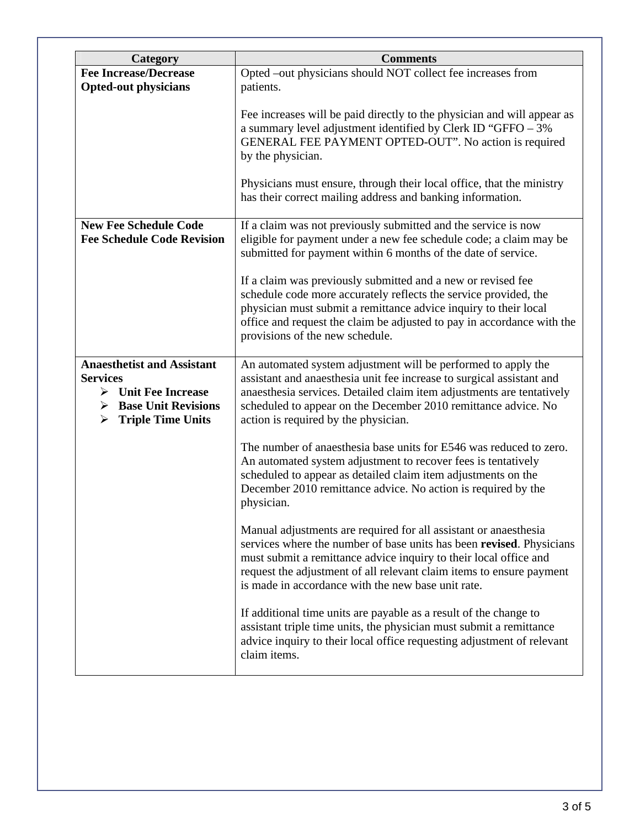| Category                                                                                                                                                       | <b>Comments</b>                                                                                                                                                                                                                                                                                                                             |
|----------------------------------------------------------------------------------------------------------------------------------------------------------------|---------------------------------------------------------------------------------------------------------------------------------------------------------------------------------------------------------------------------------------------------------------------------------------------------------------------------------------------|
| <b>Fee Increase/Decrease</b><br><b>Opted-out physicians</b>                                                                                                    | Opted -out physicians should NOT collect fee increases from<br>patients.                                                                                                                                                                                                                                                                    |
|                                                                                                                                                                | Fee increases will be paid directly to the physician and will appear as<br>a summary level adjustment identified by Clerk ID "GFFO - 3%<br>GENERAL FEE PAYMENT OPTED-OUT". No action is required<br>by the physician.                                                                                                                       |
|                                                                                                                                                                | Physicians must ensure, through their local office, that the ministry<br>has their correct mailing address and banking information.                                                                                                                                                                                                         |
| <b>New Fee Schedule Code</b><br><b>Fee Schedule Code Revision</b>                                                                                              | If a claim was not previously submitted and the service is now<br>eligible for payment under a new fee schedule code; a claim may be<br>submitted for payment within 6 months of the date of service.                                                                                                                                       |
|                                                                                                                                                                | If a claim was previously submitted and a new or revised fee<br>schedule code more accurately reflects the service provided, the<br>physician must submit a remittance advice inquiry to their local<br>office and request the claim be adjusted to pay in accordance with the<br>provisions of the new schedule.                           |
| <b>Anaesthetist and Assistant</b><br><b>Services</b><br>$\triangleright$ Unit Fee Increase<br><b>Base Unit Revisions</b><br>➤<br><b>Triple Time Units</b><br>➤ | An automated system adjustment will be performed to apply the<br>assistant and anaesthesia unit fee increase to surgical assistant and<br>anaesthesia services. Detailed claim item adjustments are tentatively<br>scheduled to appear on the December 2010 remittance advice. No<br>action is required by the physician.                   |
|                                                                                                                                                                | The number of anaesthesia base units for E546 was reduced to zero.<br>An automated system adjustment to recover fees is tentatively<br>scheduled to appear as detailed claim item adjustments on the<br>December 2010 remittance advice. No action is required by the<br>physician.                                                         |
|                                                                                                                                                                | Manual adjustments are required for all assistant or anaesthesia<br>services where the number of base units has been revised. Physicians<br>must submit a remittance advice inquiry to their local office and<br>request the adjustment of all relevant claim items to ensure payment<br>is made in accordance with the new base unit rate. |
|                                                                                                                                                                | If additional time units are payable as a result of the change to<br>assistant triple time units, the physician must submit a remittance<br>advice inquiry to their local office requesting adjustment of relevant<br>claim items.                                                                                                          |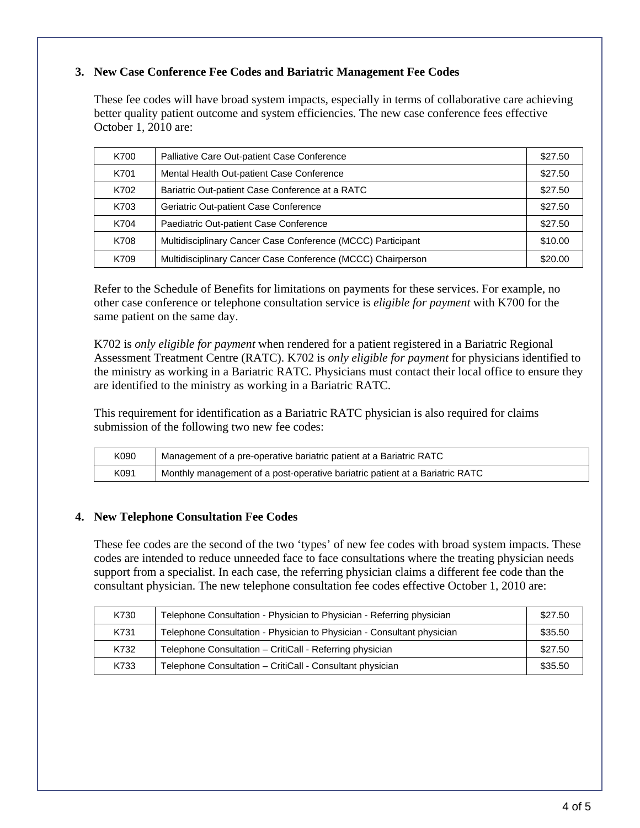## **3. New Case Conference Fee Codes and Bariatric Management Fee Codes**

These fee codes will have broad system impacts, especially in terms of collaborative care achieving better quality patient outcome and system efficiencies. The new case conference fees effective October 1, 2010 are:

| K700 | Palliative Care Out-patient Case Conference                 | \$27.50 |
|------|-------------------------------------------------------------|---------|
| K701 | Mental Health Out-patient Case Conference                   | \$27.50 |
| K702 | Bariatric Out-patient Case Conference at a RATC             | \$27.50 |
| K703 | Geriatric Out-patient Case Conference                       | \$27.50 |
| K704 | Paediatric Out-patient Case Conference                      | \$27.50 |
| K708 | Multidisciplinary Cancer Case Conference (MCCC) Participant | \$10.00 |
| K709 | Multidisciplinary Cancer Case Conference (MCCC) Chairperson | \$20.00 |

Refer to the Schedule of Benefits for limitations on payments for these services. For example, no other case conference or telephone consultation service is *eligible for payment* with K700 for the same patient on the same day.

K702 is *only eligible for payment* when rendered for a patient registered in a Bariatric Regional Assessment Treatment Centre (RATC). K702 is *only eligible for payment* for physicians identified to the ministry as working in a Bariatric RATC. Physicians must contact their local office to ensure they are identified to the ministry as working in a Bariatric RATC.

This requirement for identification as a Bariatric RATC physician is also required for claims submission of the following two new fee codes:

| K090 | Management of a pre-operative bariatric patient at a Bariatric RATC          |
|------|------------------------------------------------------------------------------|
| K091 | Monthly management of a post-operative bariatric patient at a Bariatric RATC |

#### **4. New Telephone Consultation Fee Codes**

These fee codes are the second of the two 'types' of new fee codes with broad system impacts. These codes are intended to reduce unneeded face to face consultations where the treating physician needs support from a specialist. In each case, the referring physician claims a different fee code than the consultant physician. The new telephone consultation fee codes effective October 1, 2010 are:

| K730 | Telephone Consultation - Physician to Physician - Referring physician  | \$27.50 |
|------|------------------------------------------------------------------------|---------|
| K731 | Telephone Consultation - Physician to Physician - Consultant physician | \$35.50 |
| K732 | Telephone Consultation - CritiCall - Referring physician               | \$27.50 |
| K733 | Telephone Consultation - CritiCall - Consultant physician              | \$35.50 |